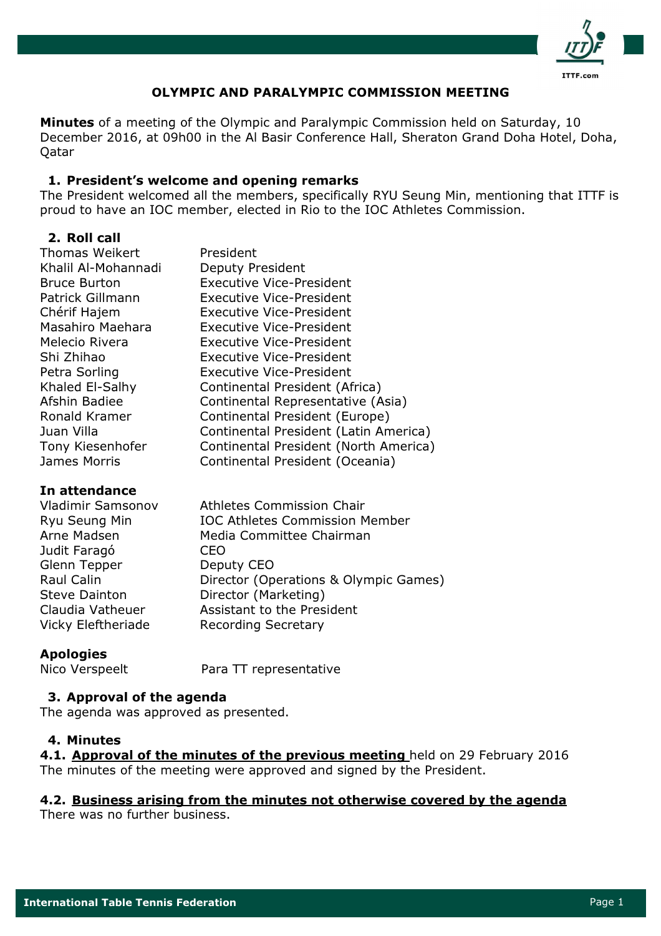

## **OLYMPIC AND PARALYMPIC COMMISSION MEETING**

Minutes of a meeting of the Olympic and Paralympic Commission held on Saturday, 10 December 2016, at 09h00 in the Al Basir Conference Hall, Sheraton Grand Doha Hotel, Doha, Oatar

### 1. President's welcome and opening remarks

The President welcomed all the members, specifically RYU Seung Min, mentioning that ITTF is proud to have an IOC member, elected in Rio to the IOC Athletes Commission.

## 2. Roll call

| <b>Thomas Weikert</b> | President                             |
|-----------------------|---------------------------------------|
| Khalil Al-Mohannadi   | Deputy President                      |
| <b>Bruce Burton</b>   | <b>Executive Vice-President</b>       |
| Patrick Gillmann      | <b>Executive Vice-President</b>       |
| Chérif Hajem          | <b>Executive Vice-President</b>       |
| Masahiro Maehara      | Executive Vice-President              |
| Melecio Rivera        | <b>Executive Vice-President</b>       |
| Shi Zhihao            | Executive Vice-President              |
| Petra Sorling         | <b>Executive Vice-President</b>       |
| Khaled El-Salhy       | Continental President (Africa)        |
| Afshin Badiee         | Continental Representative (Asia)     |
| Ronald Kramer         | Continental President (Europe)        |
| Juan Villa            | Continental President (Latin America) |
| Tony Kiesenhofer      | Continental President (North America) |
| James Morris          | Continental President (Oceania)       |

### In attendance

| <b>Vladimir Samsonov</b> | <b>Athletes Commission Chair</b>      |
|--------------------------|---------------------------------------|
| Ryu Seung Min            | <b>IOC Athletes Commission Member</b> |
| Arne Madsen              | Media Committee Chairman              |
| Judit Faragó             | CEO                                   |
| Glenn Tepper             | Deputy CEO                            |
| Raul Calin               | Director (Operations & Olympic Games) |
| <b>Steve Dainton</b>     | Director (Marketing)                  |
| Claudia Vatheuer         | Assistant to the President            |
| Vicky Eleftheriade       | <b>Recording Secretary</b>            |

## **Apologies**

Nico Verspeelt

Para TT representative

### 3. Approval of the agenda

The agenda was approved as presented.

### 4. Minutes

4.1. Approval of the minutes of the previous meeting held on 29 February 2016 The minutes of the meeting were approved and signed by the President.

### 4.2. Business arising from the minutes not otherwise covered by the agenda

There was no further business.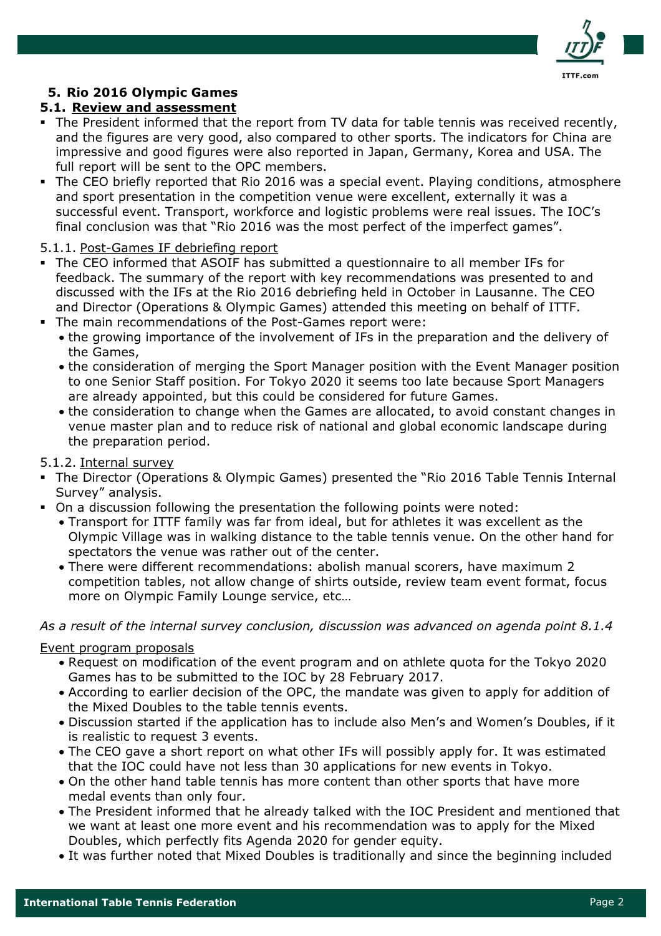

## 5. Rio 2016 Olympic Games

## 5.1. Review and assessment

- . The President informed that the report from TV data for table tennis was received recently, and the figures are very good, also compared to other sports. The indicators for China are impressive and good figures were also reported in Japan, Germany, Korea and USA. The full report will be sent to the OPC members.
- The CEO briefly reported that Rio 2016 was a special event. Playing conditions, atmosphere and sport presentation in the competition venue were excellent, externally it was a successful event. Transport, workforce and logistic problems were real issues. The IOC's final conclusion was that "Rio 2016 was the most perfect of the imperfect games".

### 5.1.1. Post-Games IF debriefing report

- The CEO informed that ASOIF has submitted a questionnaire to all member IFs for feedback. The summary of the report with key recommendations was presented to and discussed with the IFs at the Rio 2016 debriefing held in October in Lausanne. The CEO and Director (Operations & Olympic Games) attended this meeting on behalf of ITTF.
- . The main recommendations of the Post-Games report were:
	- the growing importance of the involvement of IFs in the preparation and the delivery of the Games,
	- the consideration of merging the Sport Manager position with the Event Manager position to one Senior Staff position. For Tokyo 2020 it seems too late because Sport Managers are already appointed, but this could be considered for future Games.
	- the consideration to change when the Games are allocated, to avoid constant changes in venue master plan and to reduce risk of national and global economic landscape during the preparation period.

### 5.1.2. Internal survey

- The Director (Operations & Olympic Games) presented the "Rio 2016 Table Tennis Internal Survey" analysis.
- . On a discussion following the presentation the following points were noted:
	- Transport for ITTF family was far from ideal, but for athletes it was excellent as the Olympic Village was in walking distance to the table tennis venue. On the other hand for spectators the venue was rather out of the center.
	- There were different recommendations: abolish manual scorers, have maximum 2 competition tables, not allow change of shirts outside, review team event format, focus more on Olympic Family Lounge service, etc...

As a result of the internal survey conclusion, discussion was advanced on agenda point 8.1.4

### Event program proposals

- . Request on modification of the event program and on athlete quota for the Tokyo 2020 Games has to be submitted to the IOC by 28 February 2017.
- According to earlier decision of the OPC, the mandate was given to apply for addition of the Mixed Doubles to the table tennis events.
- Discussion started if the application has to include also Men's and Women's Doubles, if it is realistic to request 3 events.
- The CEO gave a short report on what other IFs will possibly apply for. It was estimated that the IOC could have not less than 30 applications for new events in Tokyo.
- On the other hand table tennis has more content than other sports that have more medal events than only four.
- The President informed that he already talked with the IOC President and mentioned that we want at least one more event and his recommendation was to apply for the Mixed Doubles, which perfectly fits Agenda 2020 for gender equity.
- It was further noted that Mixed Doubles is traditionally and since the beginning included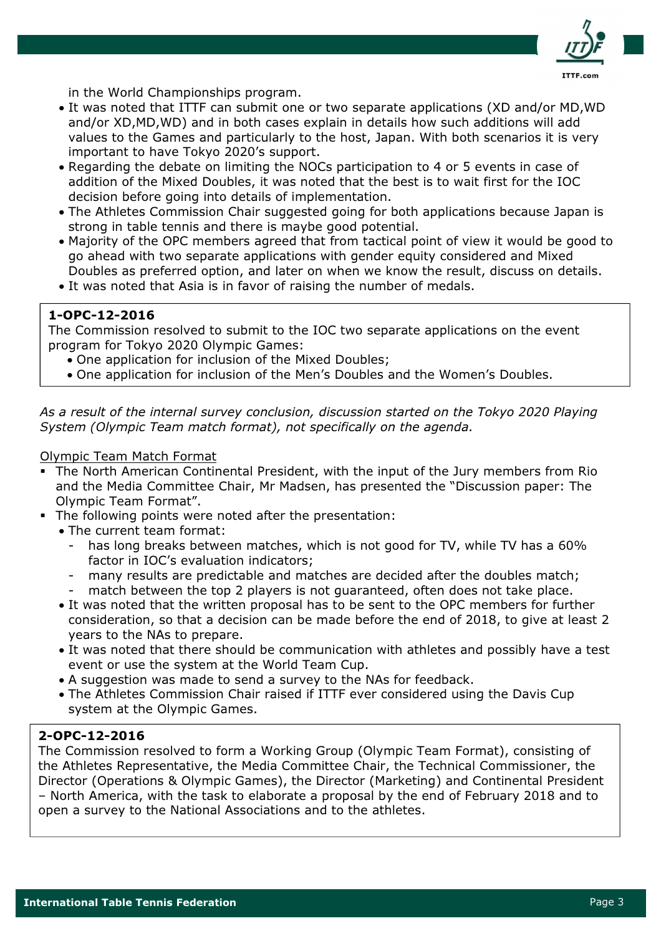

in the World Championships program.

- It was noted that ITTF can submit one or two separate applications (XD and/or MD, WD) and/or XD, MD, WD) and in both cases explain in details how such additions will add values to the Games and particularly to the host, Japan. With both scenarios it is very important to have Tokyo 2020's support.
- Regarding the debate on limiting the NOCs participation to 4 or 5 events in case of addition of the Mixed Doubles, it was noted that the best is to wait first for the IOC decision before going into details of implementation.
- The Athletes Commission Chair suggested going for both applications because Japan is strong in table tennis and there is maybe good potential.
- Majority of the OPC members agreed that from tactical point of view it would be good to go ahead with two separate applications with gender equity considered and Mixed Doubles as preferred option, and later on when we know the result, discuss on details.
- . It was noted that Asia is in favor of raising the number of medals.

### 1-OPC-12-2016

The Commission resolved to submit to the IOC two separate applications on the event program for Tokyo 2020 Olympic Games:

- One application for inclusion of the Mixed Doubles;
- One application for inclusion of the Men's Doubles and the Women's Doubles.

As a result of the internal survey conclusion, discussion started on the Tokyo 2020 Playing System (Olympic Team match format), not specifically on the agenda.

### **Olympic Team Match Format**

- The North American Continental President, with the input of the Jury members from Rio and the Media Committee Chair, Mr Madsen, has presented the "Discussion paper: The Olympic Team Format".
- The following points were noted after the presentation:
	- The current team format:
		- has long breaks between matches, which is not good for TV, while TV has a 60% factor in IOC's evaluation indicators;
		- many results are predictable and matches are decided after the doubles match;
		- match between the top 2 players is not quaranteed, often does not take place.
	- It was noted that the written proposal has to be sent to the OPC members for further consideration, so that a decision can be made before the end of 2018, to give at least 2 years to the NAs to prepare.
	- It was noted that there should be communication with athletes and possibly have a test event or use the system at the World Team Cup.
	- A suggestion was made to send a survey to the NAs for feedback.
	- . The Athletes Commission Chair raised if ITTF ever considered using the Davis Cup system at the Olympic Games.

### 2-OPC-12-2016

The Commission resolved to form a Working Group (Olympic Team Format), consisting of the Athletes Representative, the Media Committee Chair, the Technical Commissioner, the Director (Operations & Olympic Games), the Director (Marketing) and Continental President - North America, with the task to elaborate a proposal by the end of February 2018 and to open a survey to the National Associations and to the athletes.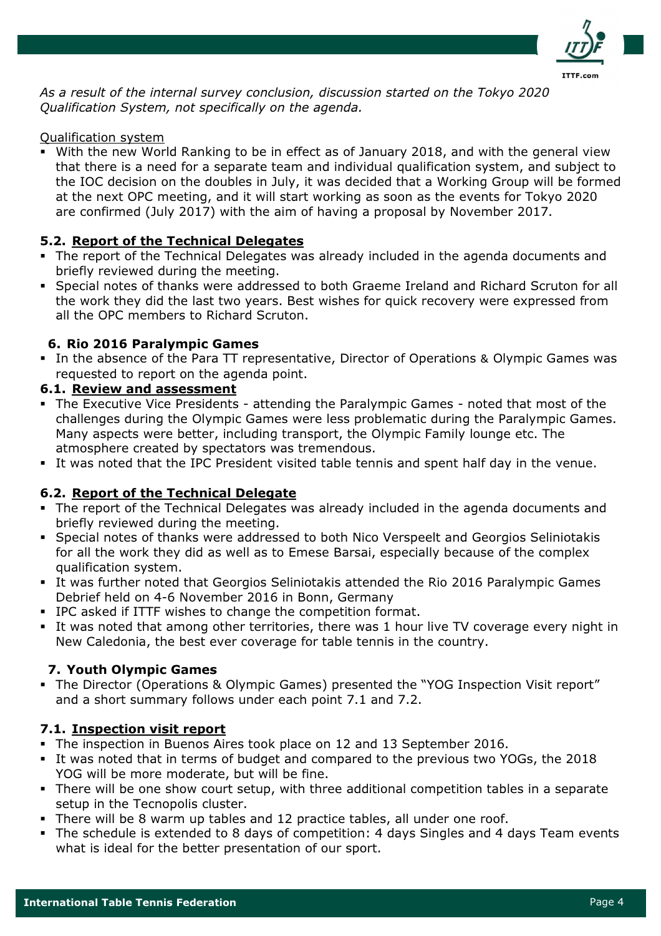

As a result of the internal survey conclusion, discussion started on the Tokyo 2020 Oualification System, not specifically on the agenda.

### Qualification system

• With the new World Ranking to be in effect as of January 2018, and with the general view that there is a need for a separate team and individual qualification system, and subject to the IOC decision on the doubles in July, it was decided that a Working Group will be formed at the next OPC meeting, and it will start working as soon as the events for Tokyo 2020 are confirmed (July 2017) with the aim of having a proposal by November 2017.

### 5.2. Report of the Technical Delegates

- The report of the Technical Delegates was already included in the agenda documents and briefly reviewed during the meeting.
- Special notes of thanks were addressed to both Graeme Ireland and Richard Scruton for all the work they did the last two years. Best wishes for quick recovery were expressed from all the OPC members to Richard Scruton.

### 6. Rio 2016 Paralympic Games

• In the absence of the Para TT representative, Director of Operations & Olympic Games was requested to report on the agenda point.

### 6.1. Review and assessment

- The Executive Vice Presidents attending the Paralympic Games noted that most of the challenges during the Olympic Games were less problematic during the Paralympic Games. Many aspects were better, including transport, the Olympic Family lounge etc. The atmosphere created by spectators was tremendous.
- . It was noted that the IPC President visited table tennis and spent half day in the venue.

### 6.2. Report of the Technical Delegate

- The report of the Technical Delegates was already included in the agenda documents and briefly reviewed during the meeting.
- Special notes of thanks were addressed to both Nico Verspeelt and Georgios Seliniotakis for all the work they did as well as to Emese Barsai, especially because of the complex qualification system.
- . It was further noted that Georgios Seliniotakis attended the Rio 2016 Paralympic Games Debrief held on 4-6 November 2016 in Bonn, Germany
- IPC asked if ITTF wishes to change the competition format.
- It was noted that among other territories, there was 1 hour live TV coverage every night in New Caledonia, the best ever coverage for table tennis in the country.

### 7. Youth Olympic Games

• The Director (Operations & Olympic Games) presented the "YOG Inspection Visit report" and a short summary follows under each point 7.1 and 7.2.

### 7.1. Inspection visit report

- The inspection in Buenos Aires took place on 12 and 13 September 2016.
- It was noted that in terms of budget and compared to the previous two YOGs, the 2018 YOG will be more moderate, but will be fine.
- There will be one show court setup, with three additional competition tables in a separate setup in the Tecnopolis cluster.
- . There will be 8 warm up tables and 12 practice tables, all under one roof.
- The schedule is extended to 8 days of competition: 4 days Singles and 4 days Team events what is ideal for the better presentation of our sport.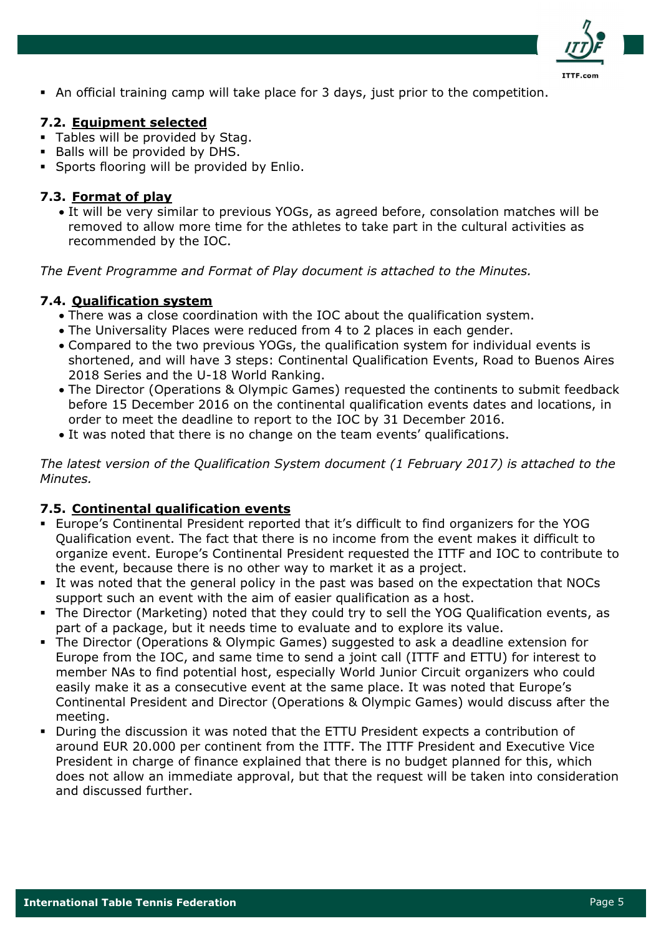

• An official training camp will take place for 3 days, just prior to the competition.

## 7.2. Equipment selected

- Tables will be provided by Stag.
- Balls will be provided by DHS.
- Sports flooring will be provided by Enlio.

### 7.3. Format of play

• It will be very similar to previous YOGs, as agreed before, consolation matches will be removed to allow more time for the athletes to take part in the cultural activities as recommended by the IOC.

The Event Programme and Format of Play document is attached to the Minutes.

### 7.4. Qualification system

- There was a close coordination with the IOC about the qualification system.
- The Universality Places were reduced from 4 to 2 places in each gender.
- Compared to the two previous YOGs, the qualification system for individual events is shortened, and will have 3 steps: Continental Qualification Events, Road to Buenos Aires 2018 Series and the U-18 World Ranking.
- The Director (Operations & Olympic Games) requested the continents to submit feedback before 15 December 2016 on the continental qualification events dates and locations, in order to meet the deadline to report to the IOC by 31 December 2016.
- It was noted that there is no change on the team events' qualifications.

The latest version of the Qualification System document (1 February 2017) is attached to the Minutes.

## 7.5. Continental qualification events

- . Europe's Continental President reported that it's difficult to find organizers for the YOG Qualification event. The fact that there is no income from the event makes it difficult to organize event. Europe's Continental President requested the ITTF and IOC to contribute to the event, because there is no other way to market it as a project.
- It was noted that the general policy in the past was based on the expectation that NOCs support such an event with the aim of easier qualification as a host.
- The Director (Marketing) noted that they could try to sell the YOG Qualification events, as part of a package, but it needs time to evaluate and to explore its value.
- The Director (Operations & Olympic Games) suggested to ask a deadline extension for Europe from the IOC, and same time to send a joint call (ITTF and ETTU) for interest to member NAs to find potential host, especially World Junior Circuit organizers who could easily make it as a consecutive event at the same place. It was noted that Europe's Continental President and Director (Operations & Olympic Games) would discuss after the meeting.
- During the discussion it was noted that the ETTU President expects a contribution of around EUR 20.000 per continent from the ITTF. The ITTF President and Executive Vice President in charge of finance explained that there is no budget planned for this, which does not allow an immediate approval, but that the request will be taken into consideration and discussed further.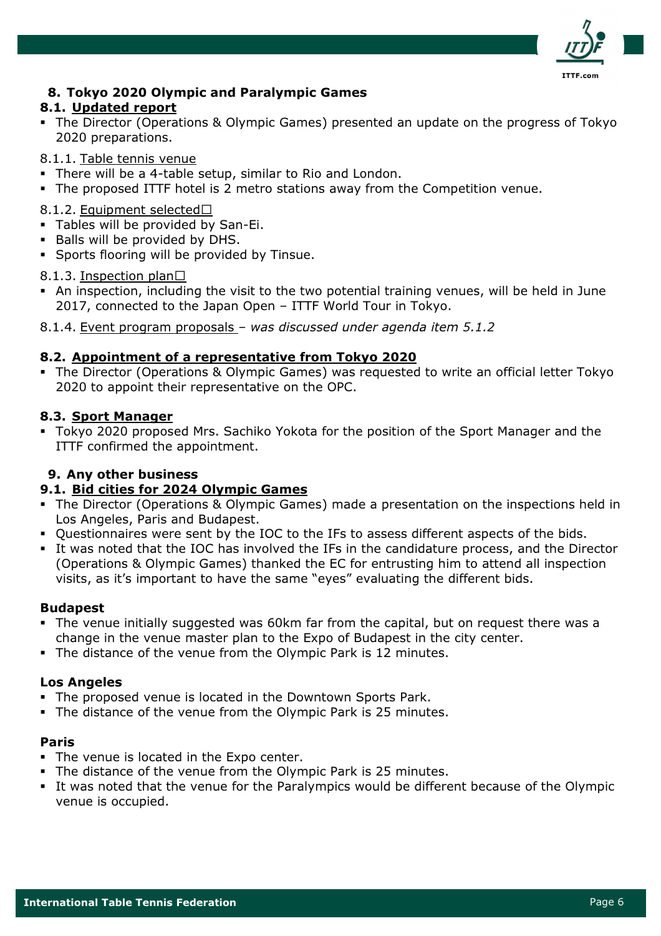

## 8. Tokyo 2020 Olympic and Paralympic Games

## 8.1. Updated report

• The Director (Operations & Olympic Games) presented an update on the progress of Tokyo 2020 preparations.

8.1.1. Table tennis venue

- There will be a 4-table setup, similar to Rio and London.
- . The proposed ITTF hotel is 2 metro stations away from the Competition venue.

8.1.2. Equipment selected

- Tables will be provided by San-Ei.
- . Balls will be provided by DHS.
- Sports flooring will be provided by Tinsue.

8.1.3. Inspection plan

- An inspection, including the visit to the two potential training venues, will be held in June 2017, connected to the Japan Open - ITTF World Tour in Tokyo.
- 8.1.4. Event program proposals was discussed under agenda item 5.1.2

### 8.2. Appointment of a representative from Tokyo 2020

The Director (Operations & Olympic Games) was requested to write an official letter Tokyo 2020 to appoint their representative on the OPC.

### 8.3. Sport Manager

• Tokyo 2020 proposed Mrs. Sachiko Yokota for the position of the Sport Manager and the ITTF confirmed the appointment.

## 9. Any other business

## 9.1. Bid cities for 2024 Olympic Games

- The Director (Operations & Olympic Games) made a presentation on the inspections held in Los Angeles, Paris and Budapest.
- Questionnaires were sent by the IOC to the IFs to assess different aspects of the bids.
- It was noted that the IOC has involved the IFs in the candidature process, and the Director (Operations & Olympic Games) thanked the EC for entrusting him to attend all inspection visits, as it's important to have the same "eyes" evaluating the different bids.

### **Budapest**

- The venue initially suggested was 60km far from the capital, but on request there was a change in the venue master plan to the Expo of Budapest in the city center.
- . The distance of the venue from the Olympic Park is 12 minutes.

## **Los Angeles**

- The proposed venue is located in the Downtown Sports Park.
- . The distance of the venue from the Olympic Park is 25 minutes.

### **Paris**

- The venue is located in the Expo center.
- The distance of the venue from the Olympic Park is 25 minutes.
- . It was noted that the venue for the Paralympics would be different because of the Olympic venue is occupied.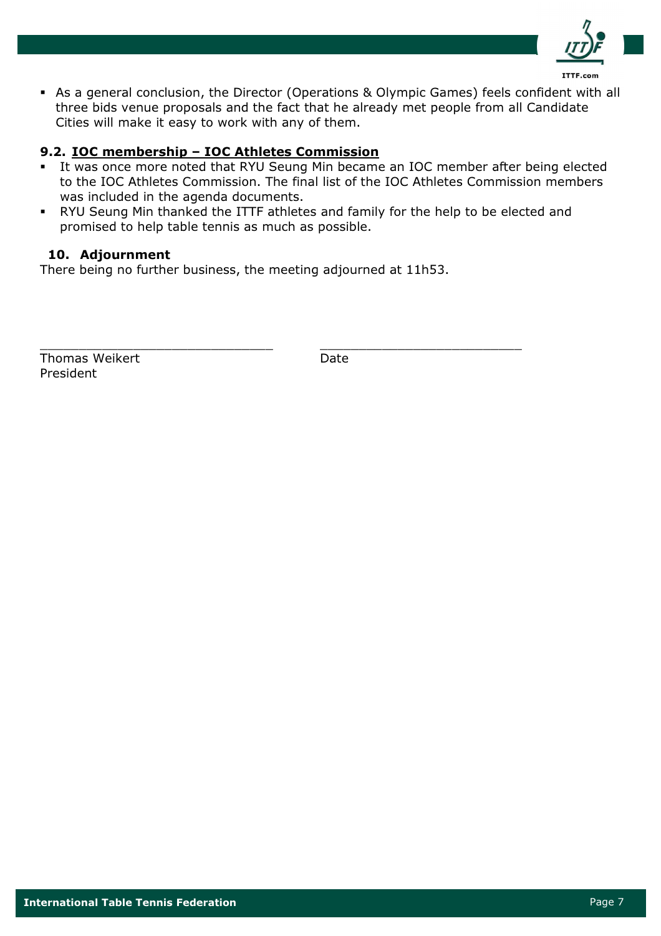

• As a general conclusion, the Director (Operations & Olympic Games) feels confident with all three bids venue proposals and the fact that he already met people from all Candidate Cities will make it easy to work with any of them.

## 9.2. IOC membership - IOC Athletes Commission

- It was once more noted that RYU Seung Min became an IOC member after being elected  $\mathbf{u}$  . to the IOC Athletes Commission. The final list of the IOC Athletes Commission members was included in the agenda documents.
- . RYU Seung Min thanked the ITTF athletes and family for the help to be elected and promised to help table tennis as much as possible.

### 10. Adjournment

There being no further business, the meeting adjourned at 11h53.

Thomas Weikert President

Date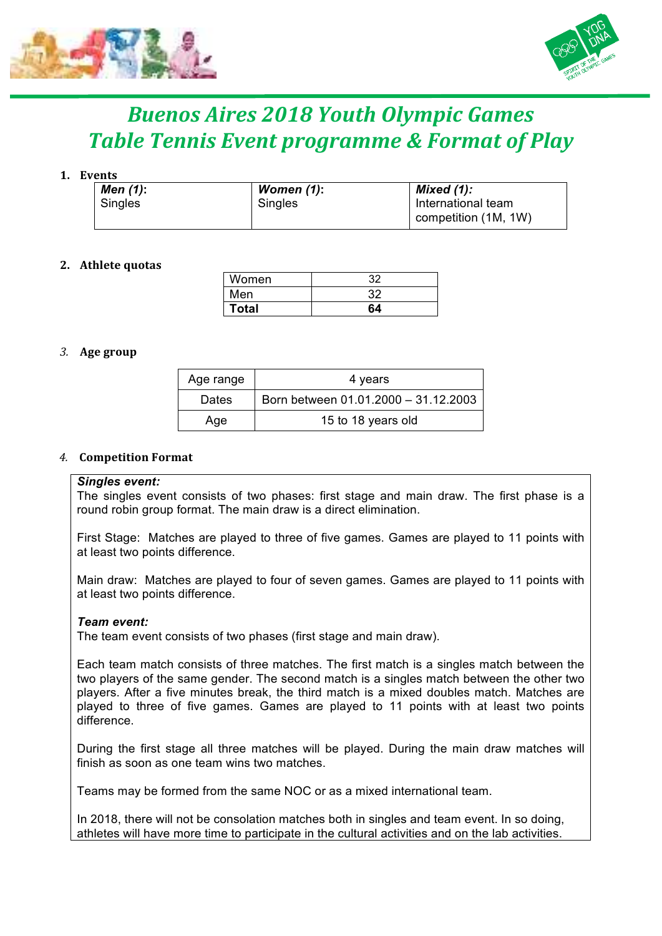



# *Buenos Aires 2018 Youth Olympic Games Table Tennis Event programme & Format of Play*

### **1. Events**

| Men (1): | Women $(1)$ : | Mixed $(1)$ :        |
|----------|---------------|----------------------|
| Singles  | Singles       | International team   |
|          |               | competition (1M, 1W) |

### **2. Athlete quotas**

| Women        | 32 |
|--------------|----|
| Men          | 32 |
| <b>Total</b> | 64 |

### *3.* **Age group**

| Age range    | 4 years                              |
|--------------|--------------------------------------|
| <b>Dates</b> | Born between 01.01.2000 - 31.12.2003 |
| Age          | 15 to 18 years old                   |

### *4.* **Competition Format**

### *Singles event:*

The singles event consists of two phases: first stage and main draw. The first phase is a round robin group format. The main draw is a direct elimination.

First Stage: Matches are played to three of five games. Games are played to 11 points with at least two points difference.

Main draw: Matches are played to four of seven games. Games are played to 11 points with at least two points difference.

### *Team event:*

The team event consists of two phases (first stage and main draw).

Each team match consists of three matches. The first match is a singles match between the two players of the same gender. The second match is a singles match between the other two players. After a five minutes break, the third match is a mixed doubles match. Matches are played to three of five games. Games are played to 11 points with at least two points difference.

During the first stage all three matches will be played. During the main draw matches will finish as soon as one team wins two matches.

Teams may be formed from the same NOC or as a mixed international team.

In 2018, there will not be consolation matches both in singles and team event. In so doing, athletes will have more time to participate in the cultural activities and on the lab activities.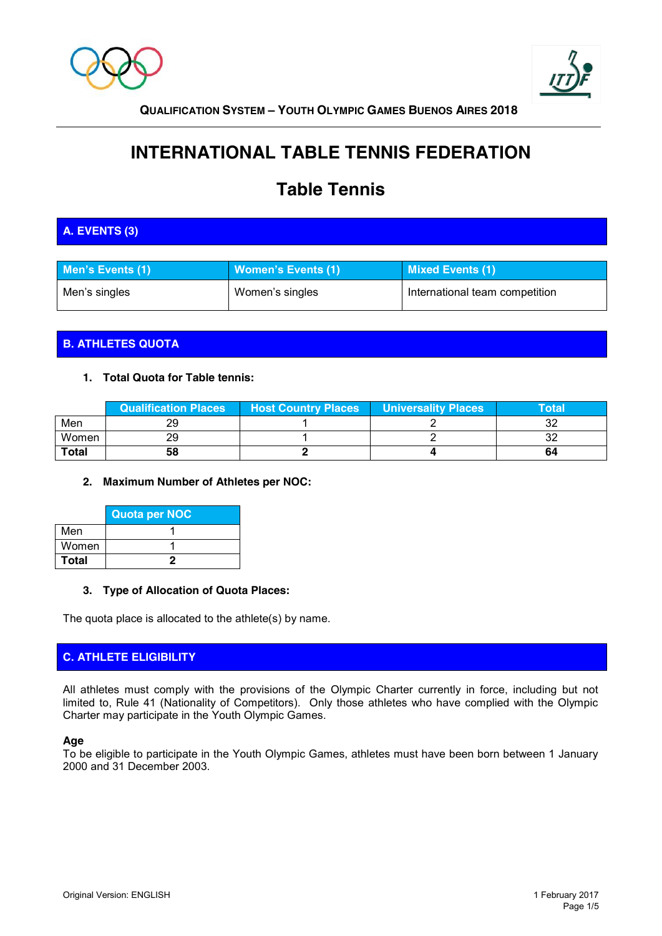



# **INTERNATIONAL TABLE TENNIS FEDERATION**

# **Table Tennis**

## **A. EVENTS (3)**

| Men's Events (1) | Women's Events (1) | Mixed Events (1)               |
|------------------|--------------------|--------------------------------|
| Men's singles    | Women's singles    | International team competition |

## **B. ATHLETES QUOTA**

### **1. Total Quota for Table tennis:**

|              | Qualification Places | <b>Host Country Places</b> | <b>Universality Places</b> | Total\ |
|--------------|----------------------|----------------------------|----------------------------|--------|
| Men          |                      |                            |                            |        |
| Women        |                      |                            |                            | ັ້     |
| <b>Total</b> | 58                   |                            |                            | 64     |

### **2. Maximum Number of Athletes per NOC:**

|              | <b>Quota per NOC</b> |
|--------------|----------------------|
| Men          |                      |
| Women        |                      |
| <b>Total</b> |                      |

### **3. Type of Allocation of Quota Places:**

The quota place is allocated to the athlete(s) by name.

### **C. ATHLETE ELIGIBILITY**

All athletes must comply with the provisions of the Olympic Charter currently in force, including but not limited to, Rule 41 (Nationality of Competitors). Only those athletes who have complied with the Olympic Charter may participate in the Youth Olympic Games.

### **Age**

To be eligible to participate in the Youth Olympic Games, athletes must have been born between 1 January 2000 and 31 December 2003.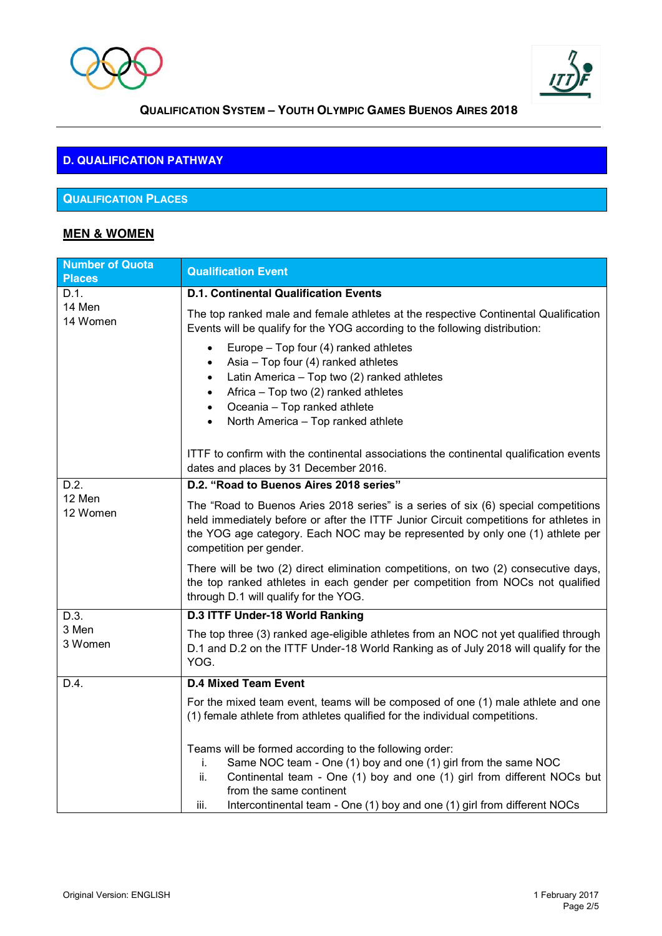



## **D. QUALIFICATION PATHWAY**

## **QUALIFICATION PLACES**

## **MEN & WOMEN**

| <b>Number of Quota</b><br><b>Places</b> | <b>Qualification Event</b>                                                                                                                                                                                                                                                                                                      |  |  |
|-----------------------------------------|---------------------------------------------------------------------------------------------------------------------------------------------------------------------------------------------------------------------------------------------------------------------------------------------------------------------------------|--|--|
| D.1.                                    | <b>D.1. Continental Qualification Events</b>                                                                                                                                                                                                                                                                                    |  |  |
| 14 Men<br>14 Women                      | The top ranked male and female athletes at the respective Continental Qualification<br>Events will be qualify for the YOG according to the following distribution:                                                                                                                                                              |  |  |
|                                         | Europe - Top four (4) ranked athletes<br>Asia - Top four (4) ranked athletes<br>Latin America - Top two (2) ranked athletes<br>Africa - Top two (2) ranked athletes<br>Oceania - Top ranked athlete<br>$\bullet$<br>North America - Top ranked athlete<br>$\bullet$                                                             |  |  |
|                                         | ITTF to confirm with the continental associations the continental qualification events<br>dates and places by 31 December 2016.                                                                                                                                                                                                 |  |  |
| D.2.                                    | D.2. "Road to Buenos Aires 2018 series"                                                                                                                                                                                                                                                                                         |  |  |
| 12 Men<br>12 Women                      | The "Road to Buenos Aries 2018 series" is a series of six (6) special competitions<br>held immediately before or after the ITTF Junior Circuit competitions for athletes in<br>the YOG age category. Each NOC may be represented by only one (1) athlete per<br>competition per gender.                                         |  |  |
|                                         | There will be two (2) direct elimination competitions, on two (2) consecutive days,<br>the top ranked athletes in each gender per competition from NOCs not qualified<br>through D.1 will qualify for the YOG.                                                                                                                  |  |  |
| D.3.                                    | D.3 ITTF Under-18 World Ranking                                                                                                                                                                                                                                                                                                 |  |  |
| 3 Men<br>3 Women                        | The top three (3) ranked age-eligible athletes from an NOC not yet qualified through<br>D.1 and D.2 on the ITTF Under-18 World Ranking as of July 2018 will qualify for the<br>YOG.                                                                                                                                             |  |  |
| D.4.                                    | <b>D.4 Mixed Team Event</b>                                                                                                                                                                                                                                                                                                     |  |  |
|                                         | For the mixed team event, teams will be composed of one (1) male athlete and one<br>(1) female athlete from athletes qualified for the individual competitions.                                                                                                                                                                 |  |  |
|                                         | Teams will be formed according to the following order:<br>Same NOC team - One (1) boy and one (1) girl from the same NOC<br>i.<br>ii.<br>Continental team - One (1) boy and one (1) girl from different NOCs but<br>from the same continent<br>Intercontinental team - One (1) boy and one (1) girl from different NOCs<br>iii. |  |  |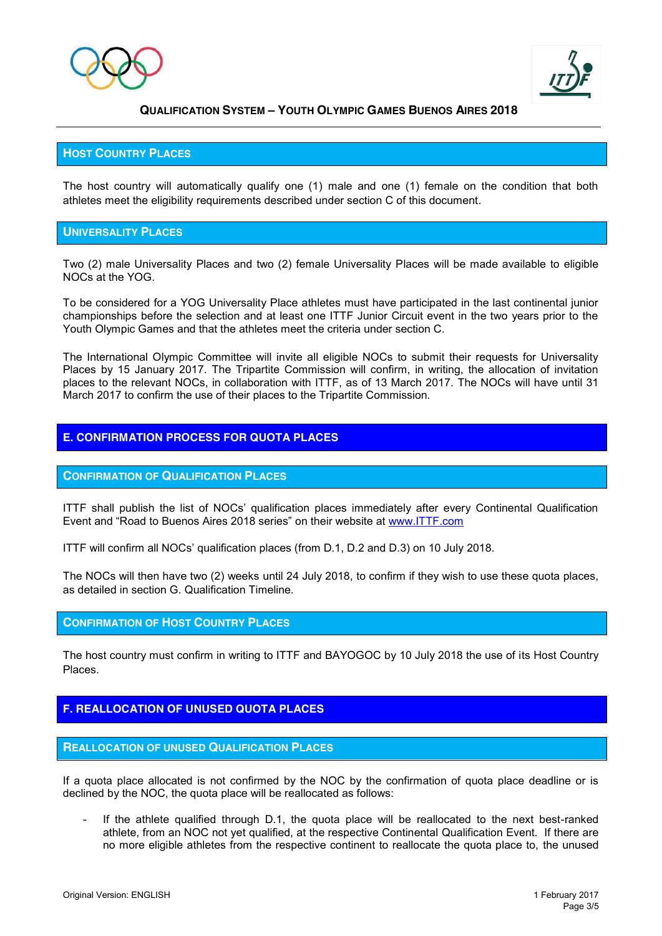



### **HOST COUNTRY PLACES**

The host country will automatically qualify one (1) male and one (1) female on the condition that both athletes meet the eligibility requirements described under section C of this document.

### **UNIVERSALITY PLACES**

Two (2) male Universality Places and two (2) female Universality Places will be made available to eligible NOCs at the YOG.

To be considered for a YOG Universality Place athletes must have participated in the last continental junior championships before the selection and at least one ITTF Junior Circuit event in the two years prior to the Youth Olympic Games and that the athletes meet the criteria under section C.

The International Olympic Committee will invite all eligible NOCs to submit their requests for Universality Places by 15 January 2017. The Tripartite Commission will confirm, in writing, the allocation of invitation places to the relevant NOCs, in collaboration with ITTF, as of 13 March 2017. The NOCs will have until 31 March 2017 to confirm the use of their places to the Tripartite Commission.

### **E. CONFIRMATION PROCESS FOR QUOTA PLACES**

### **CONFIRMATION OF QUALIFICATION PLACES**

ITTF shall publish the list of NOCs' qualification places immediately after every Continental Qualification Event and "Road to Buenos Aires 2018 series" on their website at [www.ITTF.com](http://www.ittf.com/)

ITTF will confirm all NOCs' qualification places (from D.1, D.2 and D.3) on 10 July 2018.

The NOCs will then have two (2) weeks until 24 July 2018, to confirm if they wish to use these quota places, as detailed in section G. Qualification Timeline.

### **CONFIRMATION OF HOST COUNTRY PLACES**

The host country must confirm in writing to ITTF and BAYOGOC by 10 July 2018 the use of its Host Country Places.

### **F. REALLOCATION OF UNUSED QUOTA PLACES**

### **REALLOCATION OF UNUSED QUALIFICATION PLACES**

If a quota place allocated is not confirmed by the NOC by the confirmation of quota place deadline or is declined by the NOC, the quota place will be reallocated as follows:

If the athlete qualified through D.1, the quota place will be reallocated to the next best-ranked athlete, from an NOC not yet qualified, at the respective Continental Qualification Event. If there are no more eligible athletes from the respective continent to reallocate the quota place to, the unused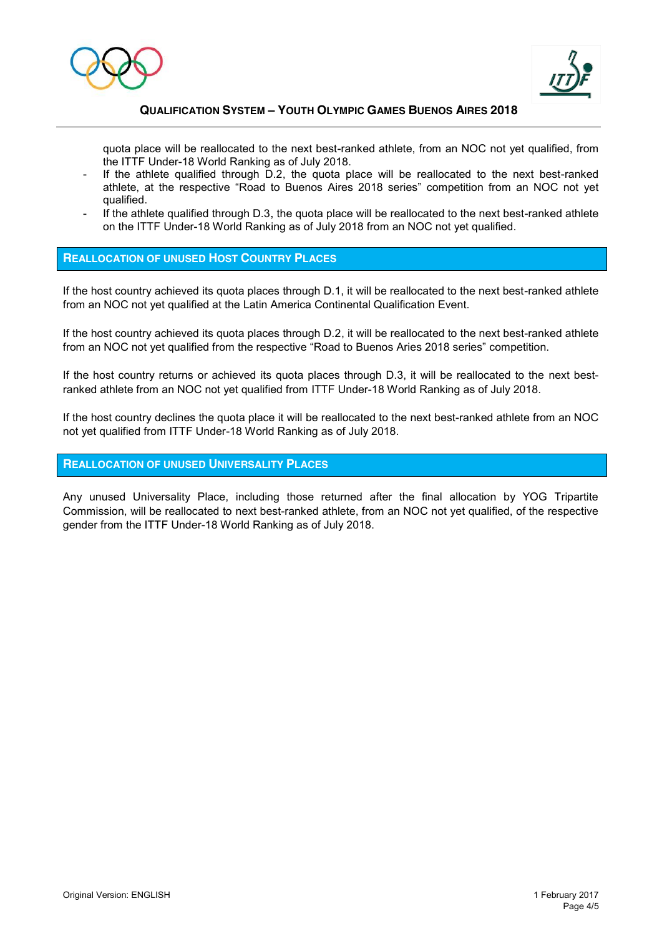



quota place will be reallocated to the next best-ranked athlete, from an NOC not yet qualified, from the ITTF Under-18 World Ranking as of July 2018.

- If the athlete qualified through D.2, the quota place will be reallocated to the next best-ranked athlete, at the respective "Road to Buenos Aires 2018 series" competition from an NOC not yet qualified.
- If the athlete qualified through D.3, the quota place will be reallocated to the next best-ranked athlete on the ITTF Under-18 World Ranking as of July 2018 from an NOC not yet qualified.

### **REALLOCATION OF UNUSED HOST COUNTRY PLACES**

If the host country achieved its quota places through D.1, it will be reallocated to the next best-ranked athlete from an NOC not yet qualified at the Latin America Continental Qualification Event.

If the host country achieved its quota places through D.2, it will be reallocated to the next best-ranked athlete from an NOC not yet qualified from the respective "Road to Buenos Aries 2018 series" competition.

If the host country returns or achieved its quota places through D.3, it will be reallocated to the next bestranked athlete from an NOC not yet qualified from ITTF Under-18 World Ranking as of July 2018.

If the host country declines the quota place it will be reallocated to the next best-ranked athlete from an NOC not yet qualified from ITTF Under-18 World Ranking as of July 2018.

### **REALLOCATION OF UNUSED UNIVERSALITY PLACES**

Any unused Universality Place, including those returned after the final allocation by YOG Tripartite Commission, will be reallocated to next best-ranked athlete, from an NOC not yet qualified, of the respective gender from the ITTF Under-18 World Ranking as of July 2018.